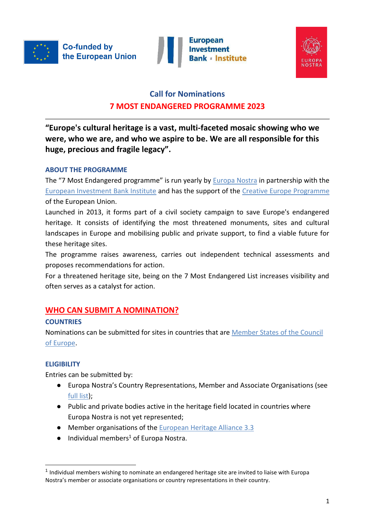

**Investment** 



# **Call for Nominations 7 MOST ENDANGERED PROGRAMME 2023**

**"Europe's cultural heritage is a vast, multi-faceted mosaic showing who we were, who we are, and who we aspire to be. We are all responsible for this huge, precious and fragile legacy".**

### **ABOUT THE PROGRAMME**

The "7 Most Endangered programme" is run yearly by [Europa Nostra](https://www.europanostra.org/) in partnership with the [European Investment Bank Institute](https://institute.eib.org/) and has the support of the [Creative Europe Programme](https://ec.europa.eu/culture/creative-europe) of the European Union.

Launched in 2013, it forms part of a civil society campaign to save Europe's endangered heritage. It consists of identifying the most threatened monuments, sites and cultural landscapes in Europe and mobilising public and private support, to find a viable future for these heritage sites.

The programme raises awareness, carries out independent technical assessments and proposes recommendations for action.

For a threatened heritage site, being on the 7 Most Endangered List increases visibility and often serves as a catalyst for action.

# **WHO CAN SUBMIT A NOMINATION?**

### **COUNTRIES**

Nominations can be submitted for sites in countries that ar[e](http://www.coe.int/en/web/about-us/our-member-states) [Member States of the Council](http://www.coe.int/en/web/about-us/our-member-states)  [of Europe.](http://www.coe.int/en/web/about-us/our-member-states)

## **ELIGIBILITY**

-

Entries can be submitted by:

- Europa Nostra's Country Representations, Member and Associate Organisations (se[e](http://www.europanostra.org/membership/) [full list\)](http://www.europanostra.org/membership/);
- Public and private bodies active in the heritage field located in countries where Europa Nostra is not yet represented;
- Member organisations of the [European Heritage Alliance 3.3](http://europeanheritagealliance.eu/members/)
- $\bullet$  Individual members<sup>1</sup> of Europa Nostra.

 $<sup>1</sup>$  Individual members wishing to nominate an endangered heritage site are invited to liaise with Europa</sup> Nostra's member or associate organisations or country representations in their country.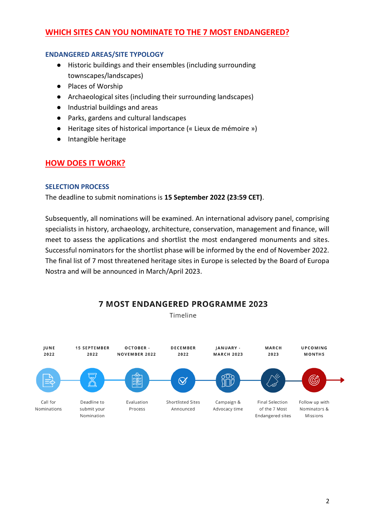### **WHICH SITES CAN YOU NOMINATE TO THE 7 MOST ENDANGERED?**

#### **ENDANGERED AREAS/SITE TYPOLOGY**

- Historic buildings and their ensembles (including surrounding townscapes/landscapes)
- Places of Worship
- Archaeological sites (including their surrounding landscapes)
- Industrial buildings and areas
- Parks, gardens and cultural landscapes
- Heritage sites of historical importance (« Lieux de mémoire »)
- Intangible heritage

### **HOW DOES IT WORK?**

#### **SELECTION PROCESS**

The deadline to submit nominations is **15 September 2022 (23:59 CET)**.

Subsequently, all nominations will be examined. An international advisory panel, comprising specialists in history, archaeology, architecture, conservation, management and finance, will meet to assess the applications and shortlist the most endangered monuments and sites. Successful nominators for the shortlist phase will be informed by the end of November 2022. The final list of 7 most threatened heritage sites in Europe is selected by the Board of Europa Nostra and will be announced in March/April 2023.



**7 MOST ENDANGERED PROGRAMME 2023** 

Timeline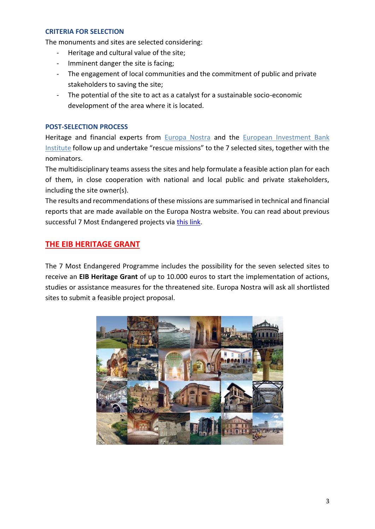#### **CRITERIA FOR SELECTION**

The monuments and sites are selected considering:

- Heritage and cultural value of the site;
- Imminent danger the site is facing;
- The engagement of local communities and the commitment of public and private stakeholders to saving the site;
- The potential of the site to act as a catalyst for a sustainable socio-economic development of the area where it is located.

#### **POST-SELECTION PROCESS**

Heritage and financial experts from [Europa Nostra](https://www.europanostra.org/) and the European Investment Bank [Institute](https://institute.eib.org/) follow up and undertake "rescue missions" to the 7 selected sites, together with the nominators.

The multidisciplinary teams assess the sites and help formulate a feasible action plan for each of them, in close cooperation with national and local public and private stakeholders, including the site owner(s).

The results and recommendations of these missions are summarised in technical and financial reports that are made available on the Europa Nostra website. You can read about previous successful 7 Most Endangered projects via [this link.](https://7mostendangered.eu/sites_progress/project-successfully-finished/)

### **THE EIB HERITAGE GRANT**

The 7 Most Endangered Programme includes the possibility for the seven selected sites to receive an **EIB Heritage Grant** of up to 10.000 euros to start the implementation of actions, studies or assistance measures for the threatened site. Europa Nostra will ask all shortlisted sites to submit a feasible project proposal.